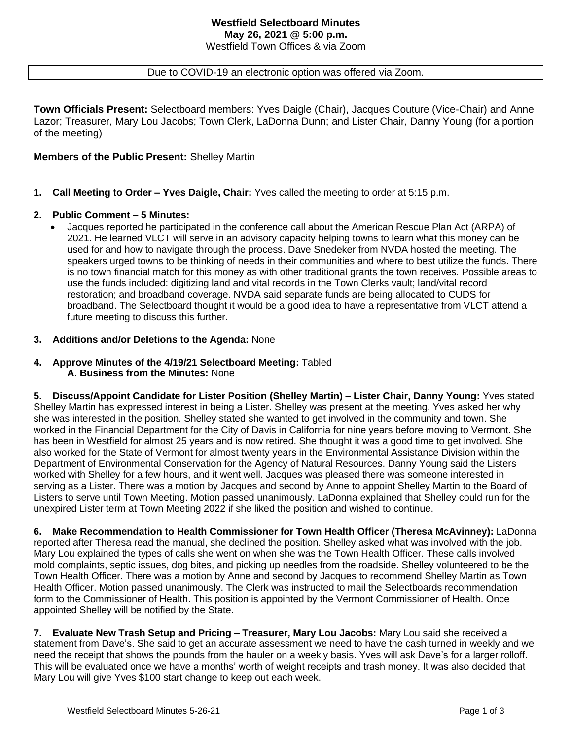## Due to COVID-19 an electronic option was offered via Zoom.

**Town Officials Present:** Selectboard members: Yves Daigle (Chair), Jacques Couture (Vice-Chair) and Anne Lazor; Treasurer, Mary Lou Jacobs; Town Clerk, LaDonna Dunn; and Lister Chair, Danny Young (for a portion of the meeting)

# **Members of the Public Present:** Shelley Martin

**1. Call Meeting to Order – Yves Daigle, Chair:** Yves called the meeting to order at 5:15 p.m.

## **2. Public Comment – 5 Minutes:**

• Jacques reported he participated in the conference call about the American Rescue Plan Act (ARPA) of 2021. He learned VLCT will serve in an advisory capacity helping towns to learn what this money can be used for and how to navigate through the process. Dave Snedeker from NVDA hosted the meeting. The speakers urged towns to be thinking of needs in their communities and where to best utilize the funds. There is no town financial match for this money as with other traditional grants the town receives. Possible areas to use the funds included: digitizing land and vital records in the Town Clerks vault; land/vital record restoration; and broadband coverage. NVDA said separate funds are being allocated to CUDS for broadband. The Selectboard thought it would be a good idea to have a representative from VLCT attend a future meeting to discuss this further.

## **3. Additions and/or Deletions to the Agenda:** None

**4. Approve Minutes of the 4/19/21 Selectboard Meeting:** Tabled **A. Business from the Minutes:** None

**5. Discuss/Appoint Candidate for Lister Position (Shelley Martin) – Lister Chair, Danny Young:** Yves stated Shelley Martin has expressed interest in being a Lister. Shelley was present at the meeting. Yves asked her why she was interested in the position. Shelley stated she wanted to get involved in the community and town. She worked in the Financial Department for the City of Davis in California for nine years before moving to Vermont. She has been in Westfield for almost 25 years and is now retired. She thought it was a good time to get involved. She also worked for the State of Vermont for almost twenty years in the Environmental Assistance Division within the Department of Environmental Conservation for the Agency of Natural Resources. Danny Young said the Listers worked with Shelley for a few hours, and it went well. Jacques was pleased there was someone interested in serving as a Lister. There was a motion by Jacques and second by Anne to appoint Shelley Martin to the Board of Listers to serve until Town Meeting. Motion passed unanimously. LaDonna explained that Shelley could run for the unexpired Lister term at Town Meeting 2022 if she liked the position and wished to continue.

**6. Make Recommendation to Health Commissioner for Town Health Officer (Theresa McAvinney):** LaDonna reported after Theresa read the manual, she declined the position. Shelley asked what was involved with the job. Mary Lou explained the types of calls she went on when she was the Town Health Officer. These calls involved mold complaints, septic issues, dog bites, and picking up needles from the roadside. Shelley volunteered to be the Town Health Officer. There was a motion by Anne and second by Jacques to recommend Shelley Martin as Town Health Officer. Motion passed unanimously. The Clerk was instructed to mail the Selectboards recommendation form to the Commissioner of Health. This position is appointed by the Vermont Commissioner of Health. Once appointed Shelley will be notified by the State.

**7. Evaluate New Trash Setup and Pricing – Treasurer, Mary Lou Jacobs:** Mary Lou said she received a statement from Dave's. She said to get an accurate assessment we need to have the cash turned in weekly and we need the receipt that shows the pounds from the hauler on a weekly basis. Yves will ask Dave's for a larger rolloff. This will be evaluated once we have a months' worth of weight receipts and trash money. It was also decided that Mary Lou will give Yves \$100 start change to keep out each week.